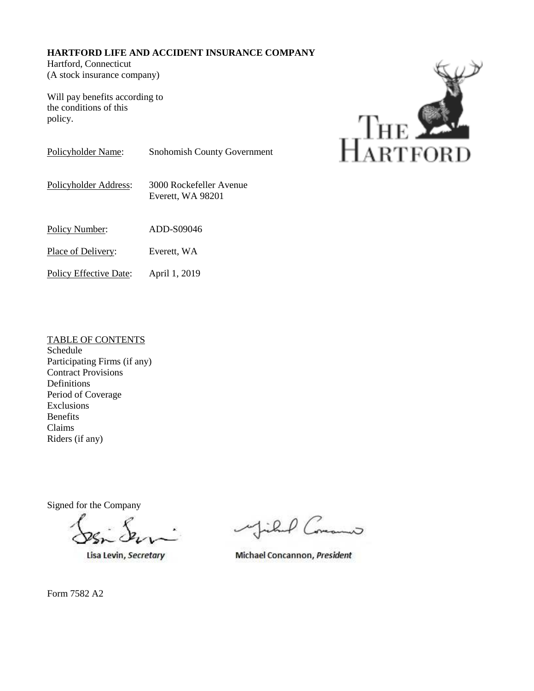# **HARTFORD LIFE AND ACCIDENT INSURANCE COMPANY**

Hartford, Connecticut (A stock insurance company)

Will pay benefits according to the conditions of this policy.



Policyholder Name: Snohomish County Government

Policyholder Address: 3000 Rockefeller Avenue Everett, WA 98201

Policy Number: ADD-S09046

Place of Delivery: Everett, WA

Policy Effective Date: April 1, 2019

# TABLE OF CONTENTS

Schedule Participating Firms (if any) Contract Provisions Definitions Period of Coverage Exclusions Benefits Claims Riders (if any)

Signed for the Company

Lisa Levin, Secretary

P Common

Michael Concannon, President

Form 7582 A2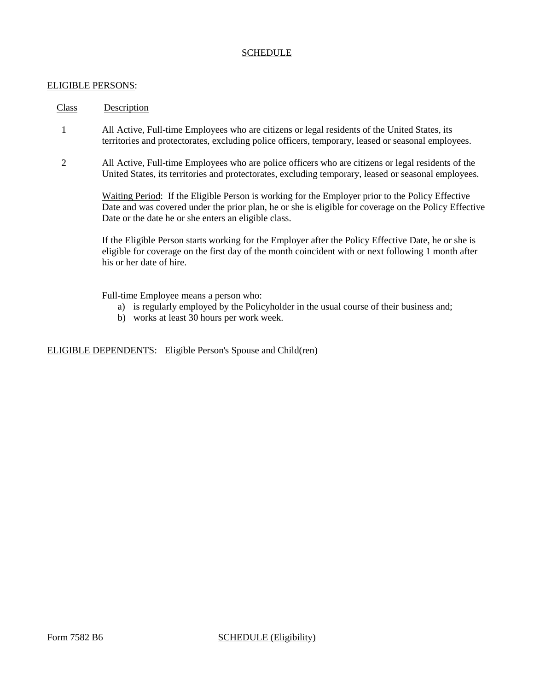### ELIGIBLE PERSONS:

### Class Description

- 1 All Active, Full-time Employees who are citizens or legal residents of the United States, its territories and protectorates, excluding police officers, temporary, leased or seasonal employees.
- 2 All Active, Full-time Employees who are police officers who are citizens or legal residents of the United States, its territories and protectorates, excluding temporary, leased or seasonal employees.

Waiting Period: If the Eligible Person is working for the Employer prior to the Policy Effective Date and was covered under the prior plan, he or she is eligible for coverage on the Policy Effective Date or the date he or she enters an eligible class.

If the Eligible Person starts working for the Employer after the Policy Effective Date, he or she is eligible for coverage on the first day of the month coincident with or next following 1 month after his or her date of hire.

Full-time Employee means a person who:

- a) is regularly employed by the Policyholder in the usual course of their business and;
- b) works at least 30 hours per work week.

ELIGIBLE DEPENDENTS: Eligible Person's Spouse and Child(ren)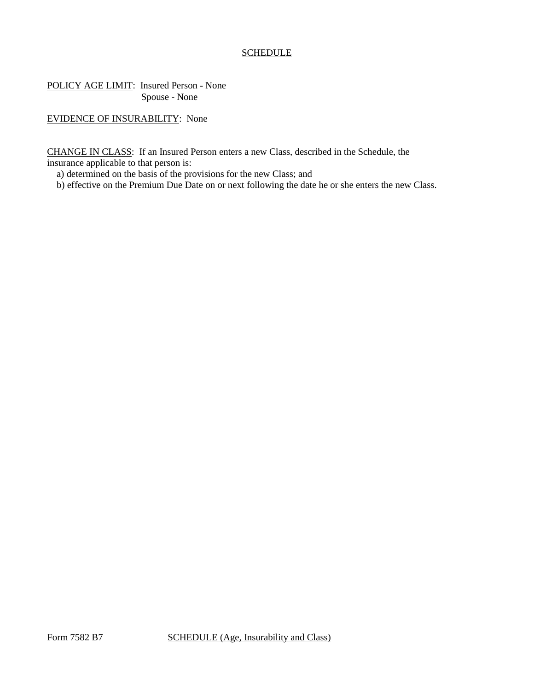POLICY AGE LIMIT: Insured Person - None Spouse - None

EVIDENCE OF INSURABILITY: None

CHANGE IN CLASS: If an Insured Person enters a new Class, described in the Schedule, the insurance applicable to that person is:

a) determined on the basis of the provisions for the new Class; and

b) effective on the Premium Due Date on or next following the date he or she enters the new Class.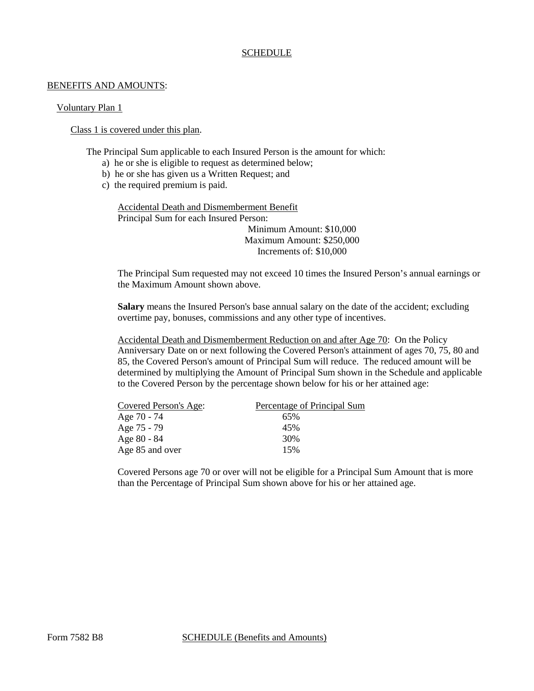#### BENEFITS AND AMOUNTS:

### Voluntary Plan 1

## Class 1 is covered under this plan.

The Principal Sum applicable to each Insured Person is the amount for which:

- a) he or she is eligible to request as determined below;
- b) he or she has given us a Written Request; and
- c) the required premium is paid.

Accidental Death and Dismemberment Benefit Principal Sum for each Insured Person: Minimum Amount: \$10,000 Maximum Amount: \$250,000 Increments of: \$10,000

The Principal Sum requested may not exceed 10 times the Insured Person's annual earnings or the Maximum Amount shown above.

**Salary** means the Insured Person's base annual salary on the date of the accident; excluding overtime pay, bonuses, commissions and any other type of incentives.

Accidental Death and Dismemberment Reduction on and after Age 70: On the Policy Anniversary Date on or next following the Covered Person's attainment of ages 70, 75, 80 and 85, the Covered Person's amount of Principal Sum will reduce. The reduced amount will be determined by multiplying the Amount of Principal Sum shown in the Schedule and applicable to the Covered Person by the percentage shown below for his or her attained age:

| Covered Person's Age: | Percentage of Principal Sum |
|-----------------------|-----------------------------|
| Age 70 - 74           | 65%                         |
| Age 75 - 79           | 45%                         |
| Age 80 - 84           | 30%                         |
| Age 85 and over       | 15%                         |

Covered Persons age 70 or over will not be eligible for a Principal Sum Amount that is more than the Percentage of Principal Sum shown above for his or her attained age.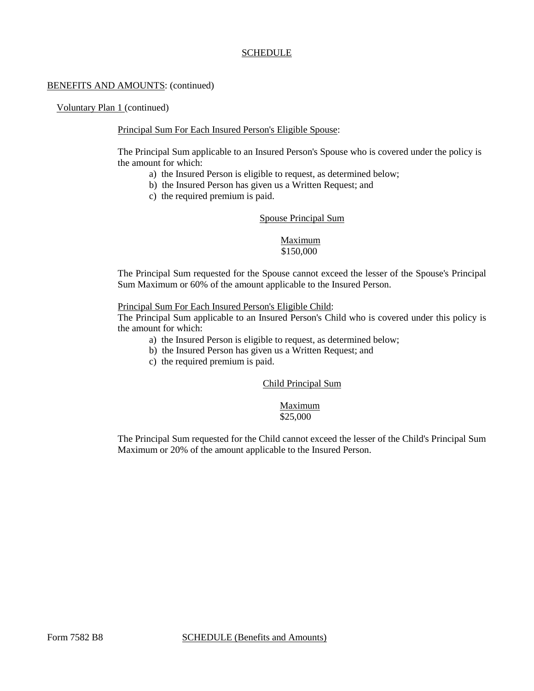### BENEFITS AND AMOUNTS: (continued)

Voluntary Plan 1 (continued)

### Principal Sum For Each Insured Person's Eligible Spouse:

The Principal Sum applicable to an Insured Person's Spouse who is covered under the policy is the amount for which:

- a) the Insured Person is eligible to request, as determined below;
- b) the Insured Person has given us a Written Request; and
- c) the required premium is paid.

#### Spouse Principal Sum

# Maximum \$150,000

The Principal Sum requested for the Spouse cannot exceed the lesser of the Spouse's Principal Sum Maximum or 60% of the amount applicable to the Insured Person.

#### Principal Sum For Each Insured Person's Eligible Child:

The Principal Sum applicable to an Insured Person's Child who is covered under this policy is the amount for which:

- a) the Insured Person is eligible to request, as determined below;
- b) the Insured Person has given us a Written Request; and
- c) the required premium is paid.

# Child Principal Sum

#### Maximum \$25,000

The Principal Sum requested for the Child cannot exceed the lesser of the Child's Principal Sum Maximum or 20% of the amount applicable to the Insured Person.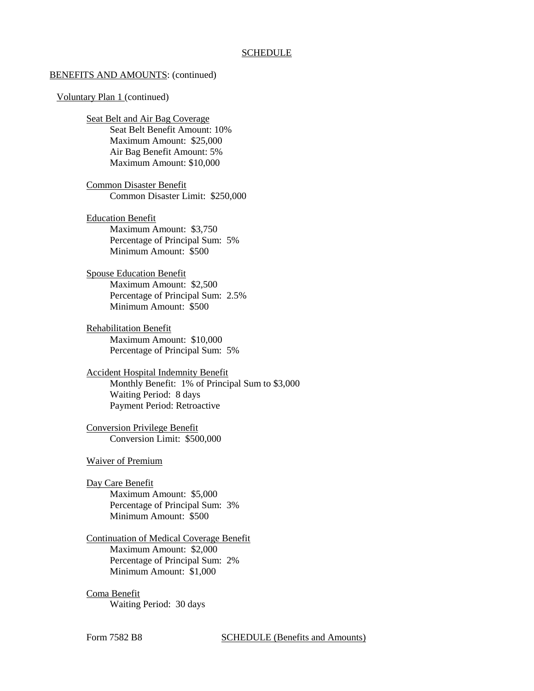#### BENEFITS AND AMOUNTS: (continued)

#### Voluntary Plan 1 (continued)

Seat Belt and Air Bag Coverage Seat Belt Benefit Amount: 10% Maximum Amount: \$25,000 Air Bag Benefit Amount: 5% Maximum Amount: \$10,000

Common Disaster Benefit Common Disaster Limit: \$250,000

Education Benefit Maximum Amount: \$3,750 Percentage of Principal Sum: 5% Minimum Amount: \$500

Spouse Education Benefit Maximum Amount: \$2,500 Percentage of Principal Sum: 2.5% Minimum Amount: \$500

Rehabilitation Benefit Maximum Amount: \$10,000 Percentage of Principal Sum: 5%

Accident Hospital Indemnity Benefit Monthly Benefit: 1% of Principal Sum to \$3,000 Waiting Period: 8 days Payment Period: Retroactive

Conversion Privilege Benefit Conversion Limit: \$500,000

Waiver of Premium

Day Care Benefit

Maximum Amount: \$5,000 Percentage of Principal Sum: 3% Minimum Amount: \$500

# Continuation of Medical Coverage Benefit Maximum Amount: \$2,000 Percentage of Principal Sum: 2% Minimum Amount: \$1,000

Coma Benefit Waiting Period: 30 days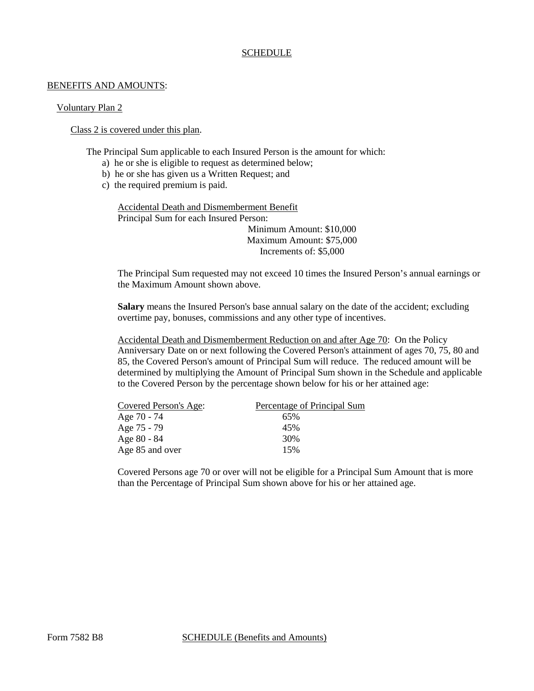#### BENEFITS AND AMOUNTS:

### Voluntary Plan 2

## Class 2 is covered under this plan.

The Principal Sum applicable to each Insured Person is the amount for which:

- a) he or she is eligible to request as determined below;
- b) he or she has given us a Written Request; and
- c) the required premium is paid.

Accidental Death and Dismemberment Benefit Principal Sum for each Insured Person: Minimum Amount: \$10,000 Maximum Amount: \$75,000 Increments of: \$5,000

The Principal Sum requested may not exceed 10 times the Insured Person's annual earnings or the Maximum Amount shown above.

**Salary** means the Insured Person's base annual salary on the date of the accident; excluding overtime pay, bonuses, commissions and any other type of incentives.

Accidental Death and Dismemberment Reduction on and after Age 70: On the Policy Anniversary Date on or next following the Covered Person's attainment of ages 70, 75, 80 and 85, the Covered Person's amount of Principal Sum will reduce. The reduced amount will be determined by multiplying the Amount of Principal Sum shown in the Schedule and applicable to the Covered Person by the percentage shown below for his or her attained age:

| Covered Person's Age: | Percentage of Principal Sum |
|-----------------------|-----------------------------|
| Age 70 - 74           | 65%                         |
| Age 75 - 79           | 45%                         |
| Age 80 - 84           | 30%                         |
| Age 85 and over       | 15%                         |

Covered Persons age 70 or over will not be eligible for a Principal Sum Amount that is more than the Percentage of Principal Sum shown above for his or her attained age.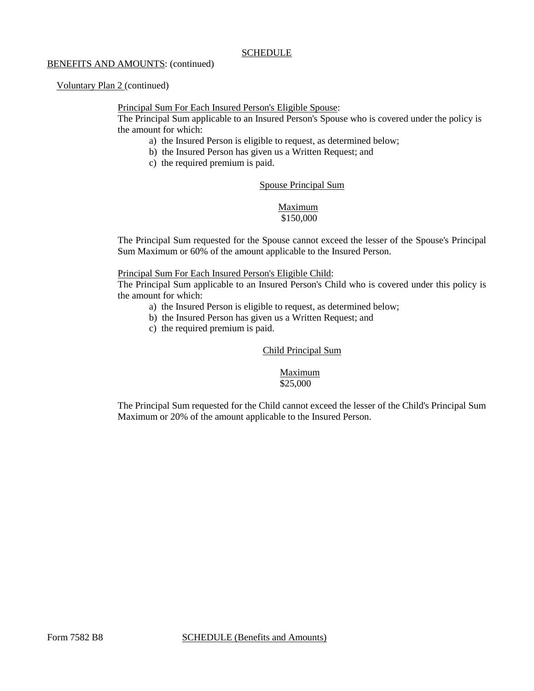### BENEFITS AND AMOUNTS: (continued)

# Voluntary Plan 2 (continued)

# Principal Sum For Each Insured Person's Eligible Spouse:

The Principal Sum applicable to an Insured Person's Spouse who is covered under the policy is the amount for which:

- a) the Insured Person is eligible to request, as determined below;
- b) the Insured Person has given us a Written Request; and
- c) the required premium is paid.

# Spouse Principal Sum

# Maximum \$150,000

The Principal Sum requested for the Spouse cannot exceed the lesser of the Spouse's Principal Sum Maximum or 60% of the amount applicable to the Insured Person.

# Principal Sum For Each Insured Person's Eligible Child:

The Principal Sum applicable to an Insured Person's Child who is covered under this policy is the amount for which:

- a) the Insured Person is eligible to request, as determined below;
- b) the Insured Person has given us a Written Request; and
- c) the required premium is paid.

# Child Principal Sum

### Maximum \$25,000

The Principal Sum requested for the Child cannot exceed the lesser of the Child's Principal Sum Maximum or 20% of the amount applicable to the Insured Person.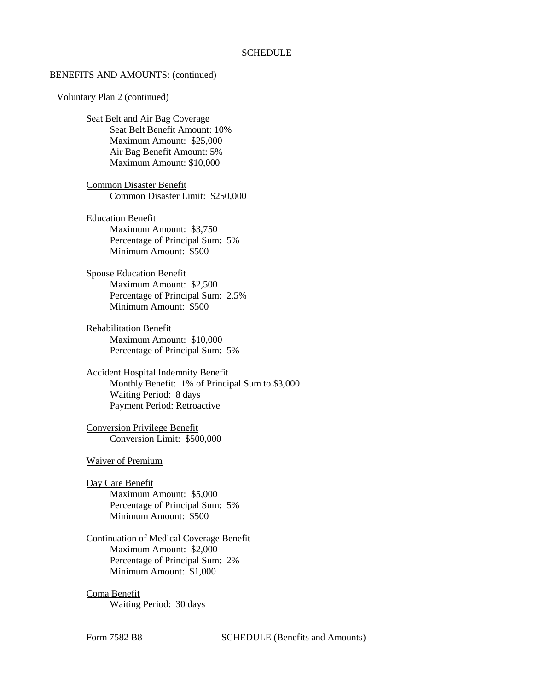#### BENEFITS AND AMOUNTS: (continued)

#### Voluntary Plan 2 (continued)

Seat Belt and Air Bag Coverage Seat Belt Benefit Amount: 10% Maximum Amount: \$25,000 Air Bag Benefit Amount: 5% Maximum Amount: \$10,000

Common Disaster Benefit Common Disaster Limit: \$250,000

Education Benefit Maximum Amount: \$3,750 Percentage of Principal Sum: 5% Minimum Amount: \$500

Spouse Education Benefit Maximum Amount: \$2,500 Percentage of Principal Sum: 2.5% Minimum Amount: \$500

Rehabilitation Benefit Maximum Amount: \$10,000 Percentage of Principal Sum: 5%

Accident Hospital Indemnity Benefit Monthly Benefit: 1% of Principal Sum to \$3,000 Waiting Period: 8 days Payment Period: Retroactive

Conversion Privilege Benefit Conversion Limit: \$500,000

Waiver of Premium

Day Care Benefit

Maximum Amount: \$5,000 Percentage of Principal Sum: 5% Minimum Amount: \$500

# Continuation of Medical Coverage Benefit Maximum Amount: \$2,000 Percentage of Principal Sum: 2% Minimum Amount: \$1,000

Coma Benefit Waiting Period: 30 days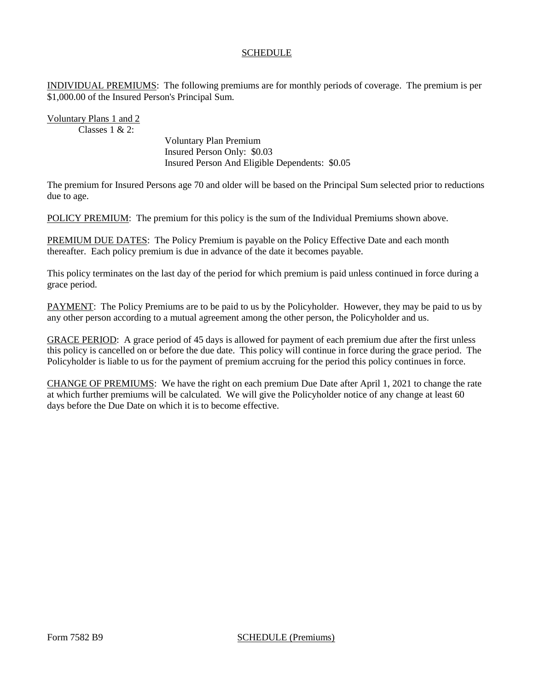INDIVIDUAL PREMIUMS: The following premiums are for monthly periods of coverage. The premium is per \$1,000.00 of the Insured Person's Principal Sum.

Voluntary Plans 1 and 2 Classes  $1 & 2$ 

> Voluntary Plan Premium Insured Person Only: \$0.03 Insured Person And Eligible Dependents: \$0.05

The premium for Insured Persons age 70 and older will be based on the Principal Sum selected prior to reductions due to age.

POLICY PREMIUM: The premium for this policy is the sum of the Individual Premiums shown above.

PREMIUM DUE DATES: The Policy Premium is payable on the Policy Effective Date and each month thereafter. Each policy premium is due in advance of the date it becomes payable.

This policy terminates on the last day of the period for which premium is paid unless continued in force during a grace period.

PAYMENT: The Policy Premiums are to be paid to us by the Policyholder. However, they may be paid to us by any other person according to a mutual agreement among the other person, the Policyholder and us.

GRACE PERIOD: A grace period of 45 days is allowed for payment of each premium due after the first unless this policy is cancelled on or before the due date. This policy will continue in force during the grace period. The Policyholder is liable to us for the payment of premium accruing for the period this policy continues in force.

CHANGE OF PREMIUMS: We have the right on each premium Due Date after April 1, 2021 to change the rate at which further premiums will be calculated. We will give the Policyholder notice of any change at least 60 days before the Due Date on which it is to become effective.

Form 7582 B9 SCHEDULE (Premiums)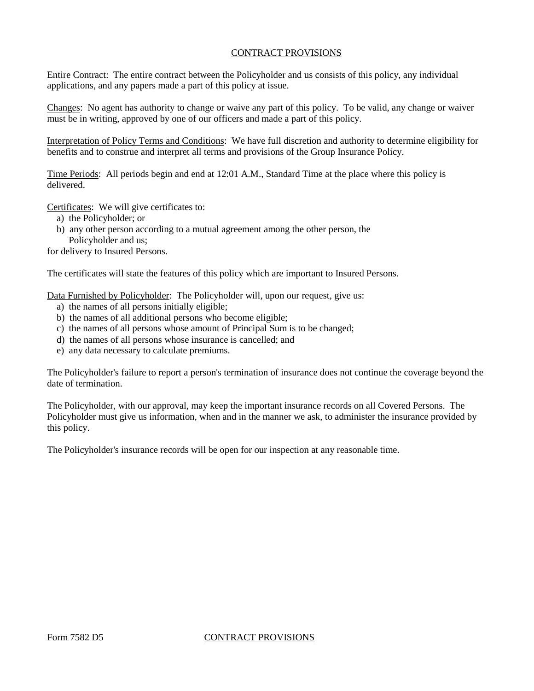# CONTRACT PROVISIONS

Entire Contract: The entire contract between the Policyholder and us consists of this policy, any individual applications, and any papers made a part of this policy at issue.

Changes: No agent has authority to change or waive any part of this policy. To be valid, any change or waiver must be in writing, approved by one of our officers and made a part of this policy.

Interpretation of Policy Terms and Conditions: We have full discretion and authority to determine eligibility for benefits and to construe and interpret all terms and provisions of the Group Insurance Policy.

Time Periods: All periods begin and end at 12:01 A.M., Standard Time at the place where this policy is delivered.

Certificates: We will give certificates to:

- a) the Policyholder; or
- b) any other person according to a mutual agreement among the other person, the Policyholder and us;

for delivery to Insured Persons.

The certificates will state the features of this policy which are important to Insured Persons.

Data Furnished by Policyholder: The Policyholder will, upon our request, give us:

- a) the names of all persons initially eligible;
- b) the names of all additional persons who become eligible;
- c) the names of all persons whose amount of Principal Sum is to be changed;
- d) the names of all persons whose insurance is cancelled; and
- e) any data necessary to calculate premiums.

The Policyholder's failure to report a person's termination of insurance does not continue the coverage beyond the date of termination.

The Policyholder, with our approval, may keep the important insurance records on all Covered Persons. The Policyholder must give us information, when and in the manner we ask, to administer the insurance provided by this policy.

The Policyholder's insurance records will be open for our inspection at any reasonable time.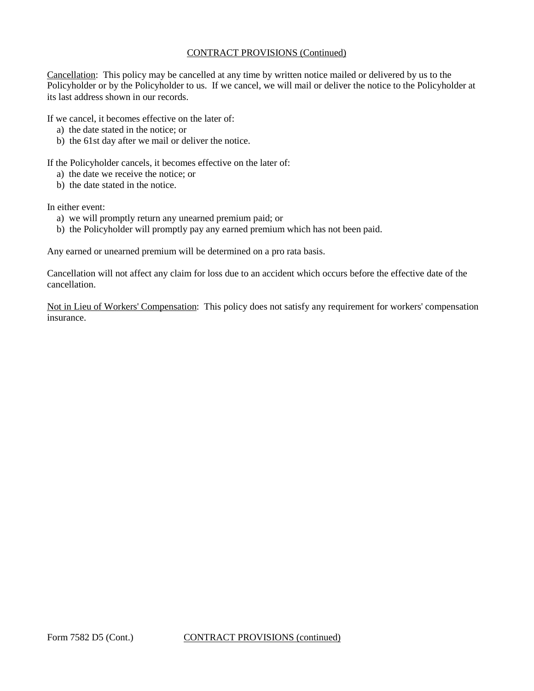# CONTRACT PROVISIONS (Continued)

Cancellation: This policy may be cancelled at any time by written notice mailed or delivered by us to the Policyholder or by the Policyholder to us. If we cancel, we will mail or deliver the notice to the Policyholder at its last address shown in our records.

If we cancel, it becomes effective on the later of:

- a) the date stated in the notice; or
- b) the 61st day after we mail or deliver the notice.

If the Policyholder cancels, it becomes effective on the later of:

- a) the date we receive the notice; or
- b) the date stated in the notice.

In either event:

- a) we will promptly return any unearned premium paid; or
- b) the Policyholder will promptly pay any earned premium which has not been paid.

Any earned or unearned premium will be determined on a pro rata basis.

Cancellation will not affect any claim for loss due to an accident which occurs before the effective date of the cancellation.

Not in Lieu of Workers' Compensation: This policy does not satisfy any requirement for workers' compensation insurance.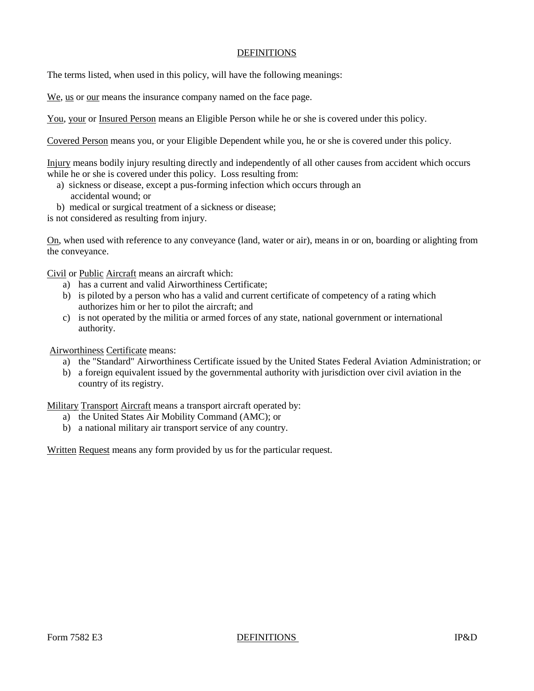# **DEFINITIONS**

The terms listed, when used in this policy, will have the following meanings:

We, us or our means the insurance company named on the face page.

You, your or Insured Person means an Eligible Person while he or she is covered under this policy.

Covered Person means you, or your Eligible Dependent while you, he or she is covered under this policy.

Injury means bodily injury resulting directly and independently of all other causes from accident which occurs while he or she is covered under this policy. Loss resulting from:

- a) sickness or disease, except a pus-forming infection which occurs through an accidental wound; or
- b) medical or surgical treatment of a sickness or disease;

is not considered as resulting from injury.

On, when used with reference to any conveyance (land, water or air), means in or on, boarding or alighting from the conveyance.

Civil or Public Aircraft means an aircraft which:

- a) has a current and valid Airworthiness Certificate;
- b) is piloted by a person who has a valid and current certificate of competency of a rating which authorizes him or her to pilot the aircraft; and
- c) is not operated by the militia or armed forces of any state, national government or international authority.

Airworthiness Certificate means:

- a) the "Standard" Airworthiness Certificate issued by the United States Federal Aviation Administration; or
- b) a foreign equivalent issued by the governmental authority with jurisdiction over civil aviation in the country of its registry.

Military Transport Aircraft means a transport aircraft operated by:

- a) the United States Air Mobility Command (AMC); or
- b) a national military air transport service of any country.

Written Request means any form provided by us for the particular request.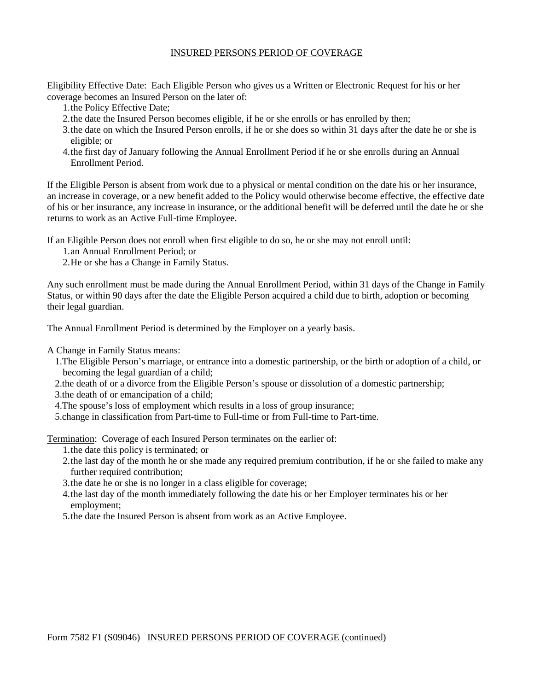# INSURED PERSONS PERIOD OF COVERAGE

Eligibility Effective Date: Each Eligible Person who gives us a Written or Electronic Request for his or her coverage becomes an Insured Person on the later of:

- 1.the Policy Effective Date;
- 2.the date the Insured Person becomes eligible, if he or she enrolls or has enrolled by then;
- 3.the date on which the Insured Person enrolls, if he or she does so within 31 days after the date he or she is eligible; or
- 4.the first day of January following the Annual Enrollment Period if he or she enrolls during an Annual Enrollment Period.

If the Eligible Person is absent from work due to a physical or mental condition on the date his or her insurance, an increase in coverage, or a new benefit added to the Policy would otherwise become effective, the effective date of his or her insurance, any increase in insurance, or the additional benefit will be deferred until the date he or she returns to work as an Active Full-time Employee.

If an Eligible Person does not enroll when first eligible to do so, he or she may not enroll until:

- 1.an Annual Enrollment Period; or
- 2.He or she has a Change in Family Status.

Any such enrollment must be made during the Annual Enrollment Period, within 31 days of the Change in Family Status, or within 90 days after the date the Eligible Person acquired a child due to birth, adoption or becoming their legal guardian.

The Annual Enrollment Period is determined by the Employer on a yearly basis.

A Change in Family Status means:

- 1.The Eligible Person's marriage, or entrance into a domestic partnership, or the birth or adoption of a child, or becoming the legal guardian of a child;
- 2.the death of or a divorce from the Eligible Person's spouse or dissolution of a domestic partnership;
- 3.the death of or emancipation of a child;
- 4.The spouse's loss of employment which results in a loss of group insurance;
- 5.change in classification from Part-time to Full-time or from Full-time to Part-time.

Termination: Coverage of each Insured Person terminates on the earlier of:

- 1.the date this policy is terminated; or
- 2.the last day of the month he or she made any required premium contribution, if he or she failed to make any further required contribution:
- 3.the date he or she is no longer in a class eligible for coverage;
- 4.the last day of the month immediately following the date his or her Employer terminates his or her employment;
- 5.the date the Insured Person is absent from work as an Active Employee.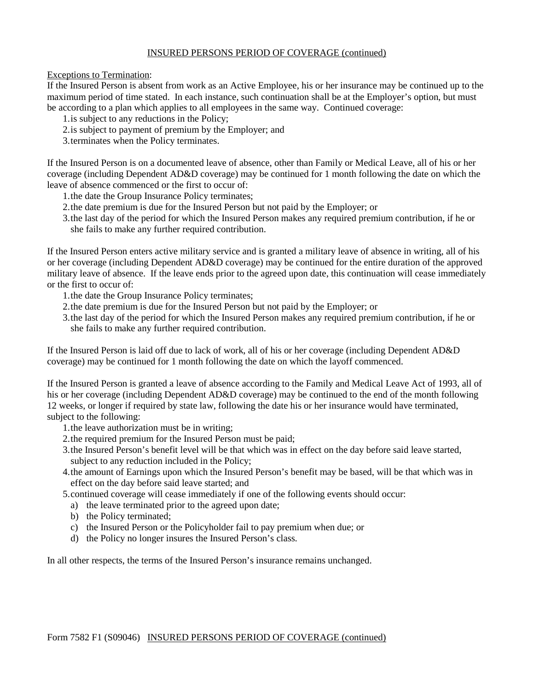# INSURED PERSONS PERIOD OF COVERAGE (continued)

Exceptions to Termination:

If the Insured Person is absent from work as an Active Employee, his or her insurance may be continued up to the maximum period of time stated. In each instance, such continuation shall be at the Employer's option, but must be according to a plan which applies to all employees in the same way. Continued coverage:

- 1.is subject to any reductions in the Policy;
- 2.is subject to payment of premium by the Employer; and
- 3.terminates when the Policy terminates.

If the Insured Person is on a documented leave of absence, other than Family or Medical Leave, all of his or her coverage (including Dependent AD&D coverage) may be continued for 1 month following the date on which the leave of absence commenced or the first to occur of:

- 1.the date the Group Insurance Policy terminates;
- 2.the date premium is due for the Insured Person but not paid by the Employer; or
- 3.the last day of the period for which the Insured Person makes any required premium contribution, if he or she fails to make any further required contribution.

If the Insured Person enters active military service and is granted a military leave of absence in writing, all of his or her coverage (including Dependent AD&D coverage) may be continued for the entire duration of the approved military leave of absence. If the leave ends prior to the agreed upon date, this continuation will cease immediately or the first to occur of:

- 1.the date the Group Insurance Policy terminates;
- 2.the date premium is due for the Insured Person but not paid by the Employer; or
- 3.the last day of the period for which the Insured Person makes any required premium contribution, if he or she fails to make any further required contribution.

If the Insured Person is laid off due to lack of work, all of his or her coverage (including Dependent AD&D coverage) may be continued for 1 month following the date on which the layoff commenced.

If the Insured Person is granted a leave of absence according to the Family and Medical Leave Act of 1993, all of his or her coverage (including Dependent AD&D coverage) may be continued to the end of the month following 12 weeks, or longer if required by state law, following the date his or her insurance would have terminated, subject to the following:

- 1.the leave authorization must be in writing;
- 2.the required premium for the Insured Person must be paid;
- 3.the Insured Person's benefit level will be that which was in effect on the day before said leave started, subject to any reduction included in the Policy;
- 4.the amount of Earnings upon which the Insured Person's benefit may be based, will be that which was in effect on the day before said leave started; and
- 5.continued coverage will cease immediately if one of the following events should occur:
	- a) the leave terminated prior to the agreed upon date;
	- b) the Policy terminated;
	- c) the Insured Person or the Policyholder fail to pay premium when due; or
	- d) the Policy no longer insures the Insured Person's class.

In all other respects, the terms of the Insured Person's insurance remains unchanged.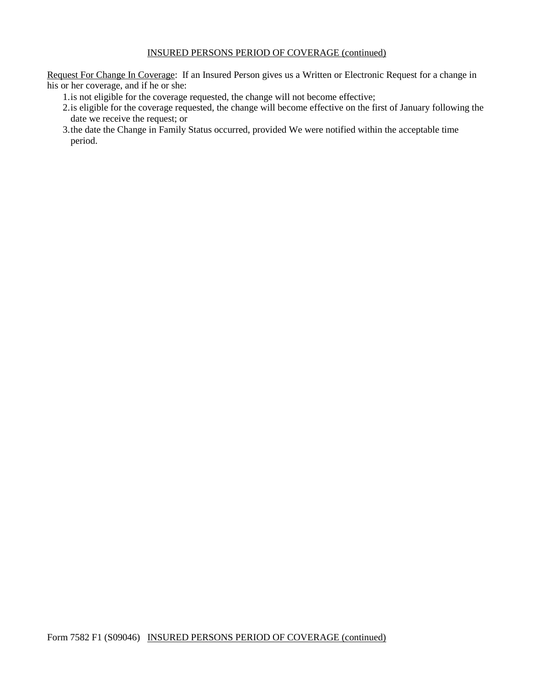# INSURED PERSONS PERIOD OF COVERAGE (continued)

Request For Change In Coverage: If an Insured Person gives us a Written or Electronic Request for a change in his or her coverage, and if he or she:

- 1.is not eligible for the coverage requested, the change will not become effective;
- 2.is eligible for the coverage requested, the change will become effective on the first of January following the date we receive the request; or
- 3.the date the Change in Family Status occurred, provided We were notified within the acceptable time period.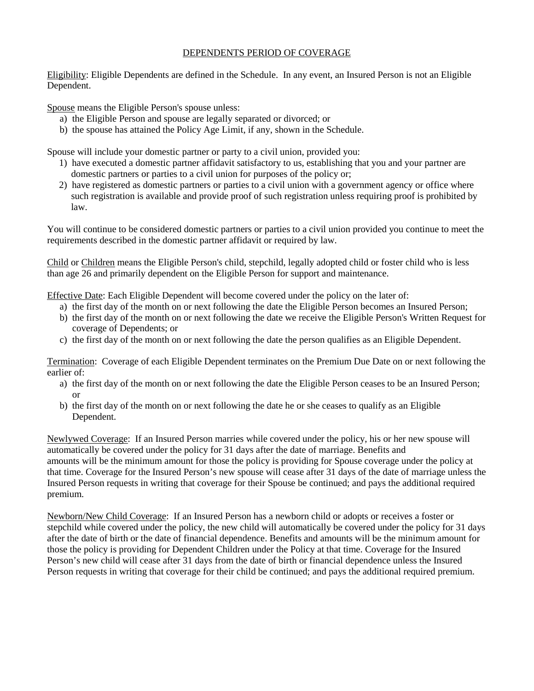# DEPENDENTS PERIOD OF COVERAGE

Eligibility: Eligible Dependents are defined in the Schedule. In any event, an Insured Person is not an Eligible Dependent.

Spouse means the Eligible Person's spouse unless:

- a) the Eligible Person and spouse are legally separated or divorced; or
- b) the spouse has attained the Policy Age Limit, if any, shown in the Schedule.

Spouse will include your domestic partner or party to a civil union, provided you:

- 1) have executed a domestic partner affidavit satisfactory to us, establishing that you and your partner are domestic partners or parties to a civil union for purposes of the policy or;
- 2) have registered as domestic partners or parties to a civil union with a government agency or office where such registration is available and provide proof of such registration unless requiring proof is prohibited by law.

You will continue to be considered domestic partners or parties to a civil union provided you continue to meet the requirements described in the domestic partner affidavit or required by law.

Child or Children means the Eligible Person's child, stepchild, legally adopted child or foster child who is less than age 26 and primarily dependent on the Eligible Person for support and maintenance.

Effective Date: Each Eligible Dependent will become covered under the policy on the later of:

- a) the first day of the month on or next following the date the Eligible Person becomes an Insured Person;
- b) the first day of the month on or next following the date we receive the Eligible Person's Written Request for coverage of Dependents; or
- c) the first day of the month on or next following the date the person qualifies as an Eligible Dependent.

Termination: Coverage of each Eligible Dependent terminates on the Premium Due Date on or next following the earlier of:

- a) the first day of the month on or next following the date the Eligible Person ceases to be an Insured Person; or
- b) the first day of the month on or next following the date he or she ceases to qualify as an Eligible Dependent.

Newlywed Coverage: If an Insured Person marries while covered under the policy, his or her new spouse will automatically be covered under the policy for 31 days after the date of marriage. Benefits and amounts will be the minimum amount for those the policy is providing for Spouse coverage under the policy at that time. Coverage for the Insured Person's new spouse will cease after 31 days of the date of marriage unless the Insured Person requests in writing that coverage for their Spouse be continued; and pays the additional required premium.

Newborn/New Child Coverage: If an Insured Person has a newborn child or adopts or receives a foster or stepchild while covered under the policy, the new child will automatically be covered under the policy for 31 days after the date of birth or the date of financial dependence. Benefits and amounts will be the minimum amount for those the policy is providing for Dependent Children under the Policy at that time. Coverage for the Insured Person's new child will cease after 31 days from the date of birth or financial dependence unless the Insured Person requests in writing that coverage for their child be continued; and pays the additional required premium.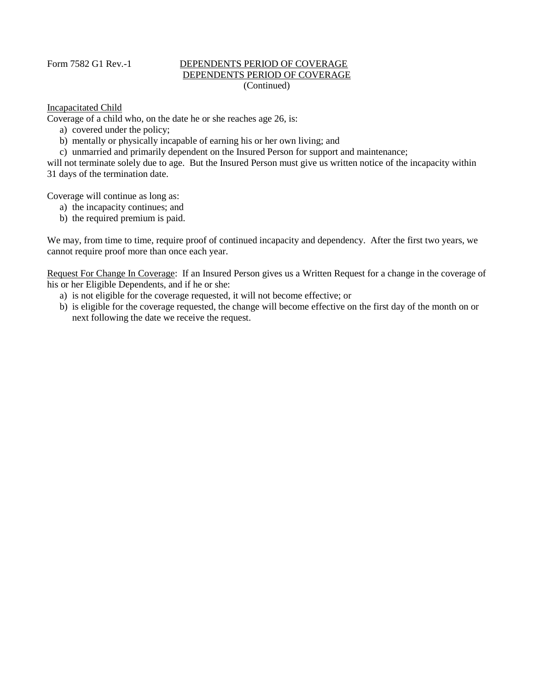# Form 7582 G1 Rev.-1 DEPENDENTS PERIOD OF COVERAGE DEPENDENTS PERIOD OF COVERAGE (Continued)

# Incapacitated Child

Coverage of a child who, on the date he or she reaches age 26, is:

- a) covered under the policy;
- b) mentally or physically incapable of earning his or her own living; and
- c) unmarried and primarily dependent on the Insured Person for support and maintenance;

will not terminate solely due to age. But the Insured Person must give us written notice of the incapacity within 31 days of the termination date.

Coverage will continue as long as:

- a) the incapacity continues; and
- b) the required premium is paid.

We may, from time to time, require proof of continued incapacity and dependency. After the first two years, we cannot require proof more than once each year.

Request For Change In Coverage: If an Insured Person gives us a Written Request for a change in the coverage of his or her Eligible Dependents, and if he or she:

- a) is not eligible for the coverage requested, it will not become effective; or
- b) is eligible for the coverage requested, the change will become effective on the first day of the month on or next following the date we receive the request.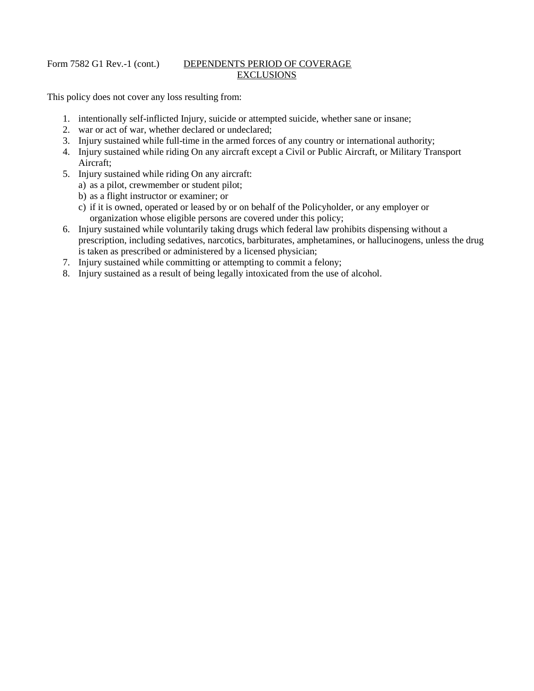# Form 7582 G1 Rev.-1 (cont.) DEPENDENTS PERIOD OF COVERAGE **EXCLUSIONS**

This policy does not cover any loss resulting from:

- 1. intentionally self-inflicted Injury, suicide or attempted suicide, whether sane or insane;
- 2. war or act of war, whether declared or undeclared;
- 3. Injury sustained while full-time in the armed forces of any country or international authority;
- 4. Injury sustained while riding On any aircraft except a Civil or Public Aircraft, or Military Transport Aircraft;
- 5. Injury sustained while riding On any aircraft:
	- a) as a pilot, crewmember or student pilot;
	- b) as a flight instructor or examiner; or
	- c) if it is owned, operated or leased by or on behalf of the Policyholder, or any employer or organization whose eligible persons are covered under this policy;
- 6. Injury sustained while voluntarily taking drugs which federal law prohibits dispensing without a prescription, including sedatives, narcotics, barbiturates, amphetamines, or hallucinogens, unless the drug is taken as prescribed or administered by a licensed physician;
- 7. Injury sustained while committing or attempting to commit a felony;
- 8. Injury sustained as a result of being legally intoxicated from the use of alcohol.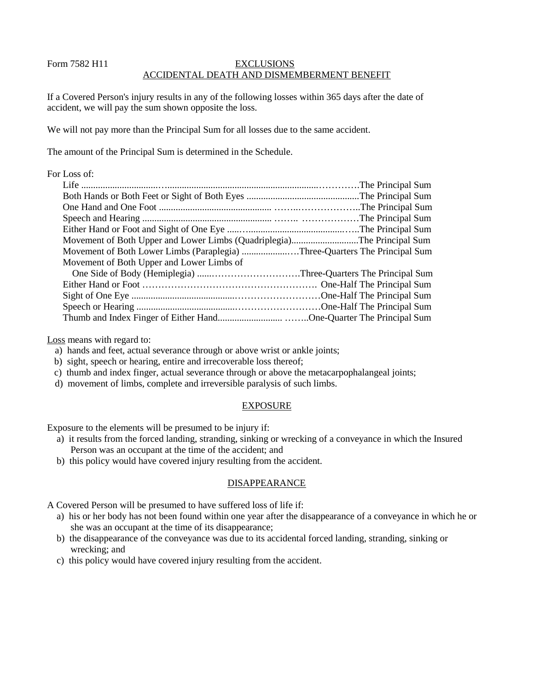# Form 7582 H11 EXCLUSIONS ACCIDENTAL DEATH AND DISMEMBERMENT BENEFIT

If a Covered Person's injury results in any of the following losses within 365 days after the date of accident, we will pay the sum shown opposite the loss.

We will not pay more than the Principal Sum for all losses due to the same accident.

The amount of the Principal Sum is determined in the Schedule.

# For Loss of:

| Movement of Both Upper and Lower Limbs (Quadriplegia)The Principal Sum     |  |
|----------------------------------------------------------------------------|--|
| Movement of Both Lower Limbs (Paraplegia) Three-Quarters The Principal Sum |  |
| Movement of Both Upper and Lower Limbs of                                  |  |
|                                                                            |  |
|                                                                            |  |
|                                                                            |  |
|                                                                            |  |
| Thumb and Index Finger of Either HandOne-Quarter The Principal Sum         |  |

Loss means with regard to:

- a) hands and feet, actual severance through or above wrist or ankle joints;
- b) sight, speech or hearing, entire and irrecoverable loss thereof;
- c) thumb and index finger, actual severance through or above the metacarpophalangeal joints;
- d) movement of limbs, complete and irreversible paralysis of such limbs.

# EXPOSURE

Exposure to the elements will be presumed to be injury if:

- a) it results from the forced landing, stranding, sinking or wrecking of a conveyance in which the Insured Person was an occupant at the time of the accident; and
- b) this policy would have covered injury resulting from the accident.

# DISAPPEARANCE

A Covered Person will be presumed to have suffered loss of life if:

- a) his or her body has not been found within one year after the disappearance of a conveyance in which he or she was an occupant at the time of its disappearance;
- b) the disappearance of the conveyance was due to its accidental forced landing, stranding, sinking or wrecking; and
- c) this policy would have covered injury resulting from the accident.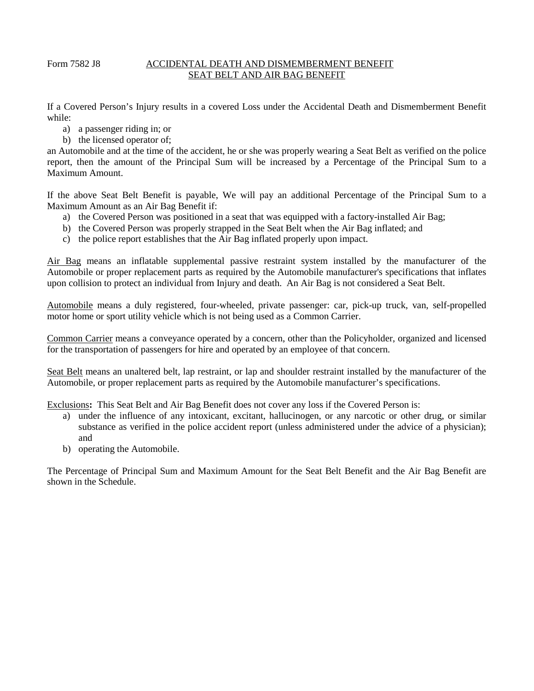# Form 7582 J8 ACCIDENTAL DEATH AND DISMEMBERMENT BENEFIT SEAT BELT AND AIR BAG BENEFIT

If a Covered Person's Injury results in a covered Loss under the Accidental Death and Dismemberment Benefit while:

- a) a passenger riding in; or
- b) the licensed operator of;

an Automobile and at the time of the accident, he or she was properly wearing a Seat Belt as verified on the police report, then the amount of the Principal Sum will be increased by a Percentage of the Principal Sum to a Maximum Amount.

If the above Seat Belt Benefit is payable, We will pay an additional Percentage of the Principal Sum to a Maximum Amount as an Air Bag Benefit if:

- a) the Covered Person was positioned in a seat that was equipped with a factory-installed Air Bag;
- b) the Covered Person was properly strapped in the Seat Belt when the Air Bag inflated; and
- c) the police report establishes that the Air Bag inflated properly upon impact.

Air Bag means an inflatable supplemental passive restraint system installed by the manufacturer of the Automobile or proper replacement parts as required by the Automobile manufacturer's specifications that inflates upon collision to protect an individual from Injury and death. An Air Bag is not considered a Seat Belt.

Automobile means a duly registered, four-wheeled, private passenger: car, pick-up truck, van, self-propelled motor home or sport utility vehicle which is not being used as a Common Carrier.

Common Carrier means a conveyance operated by a concern, other than the Policyholder, organized and licensed for the transportation of passengers for hire and operated by an employee of that concern.

Seat Belt means an unaltered belt, lap restraint, or lap and shoulder restraint installed by the manufacturer of the Automobile, or proper replacement parts as required by the Automobile manufacturer's specifications.

Exclusions**:** This Seat Belt and Air Bag Benefit does not cover any loss if the Covered Person is:

- a) under the influence of any intoxicant, excitant, hallucinogen, or any narcotic or other drug, or similar substance as verified in the police accident report (unless administered under the advice of a physician); and
- b) operating the Automobile.

The Percentage of Principal Sum and Maximum Amount for the Seat Belt Benefit and the Air Bag Benefit are shown in the Schedule.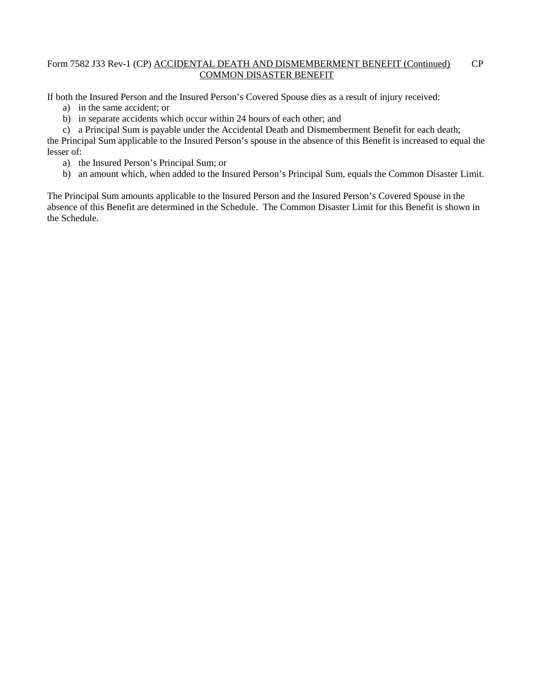# Form 7582 J33 Rev-1 (CP) ACCIDENTAL DEATH AND DISMEMBERMENT BENEFIT (Continued) CP COMMON DISASTER BENEFIT

If both the Insured Person and the Insured Person's Covered Spouse dies as a result of injury received:

- a) in the same accident; or
- b) in separate accidents which occur within 24 hours of each other; and
- c) a Principal Sum is payable under the Accidental Death and Dismemberment Benefit for each death;

the Principal Sum applicable to the Insured Person's spouse in the absence of this Benefit is increased to equal the lesser of:

- a) the Insured Person's Principal Sum; or
- b) an amount which, when added to the Insured Person's Principal Sum, equals the Common Disaster Limit.

The Principal Sum amounts applicable to the Insured Person and the Insured Person's Covered Spouse in the absence of this Benefit are determined in the Schedule. The Common Disaster Limit for this Benefit is shown in the Schedule.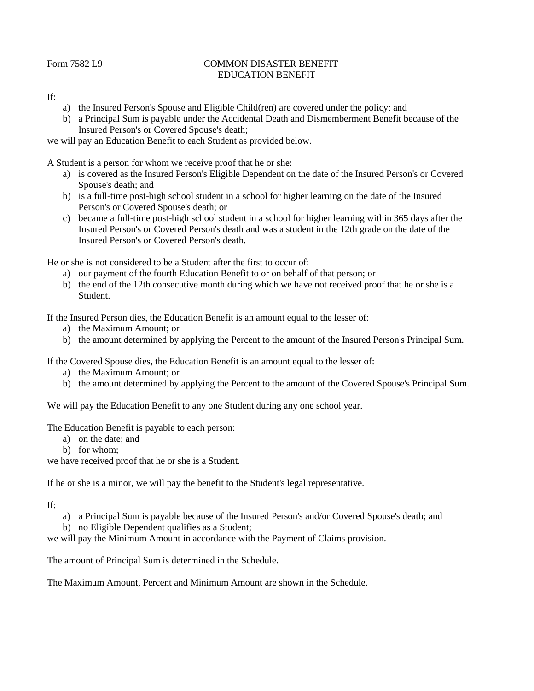### Form 7582 L9 COMMON DISASTER BENEFIT EDUCATION BENEFIT

#### If:

- a) the Insured Person's Spouse and Eligible Child(ren) are covered under the policy; and
- b) a Principal Sum is payable under the Accidental Death and Dismemberment Benefit because of the Insured Person's or Covered Spouse's death;

# we will pay an Education Benefit to each Student as provided below.

A Student is a person for whom we receive proof that he or she:

- a) is covered as the Insured Person's Eligible Dependent on the date of the Insured Person's or Covered Spouse's death; and
- b) is a full-time post-high school student in a school for higher learning on the date of the Insured Person's or Covered Spouse's death; or
- c) became a full-time post-high school student in a school for higher learning within 365 days after the Insured Person's or Covered Person's death and was a student in the 12th grade on the date of the Insured Person's or Covered Person's death.

He or she is not considered to be a Student after the first to occur of:

- a) our payment of the fourth Education Benefit to or on behalf of that person; or
- b) the end of the 12th consecutive month during which we have not received proof that he or she is a Student.

If the Insured Person dies, the Education Benefit is an amount equal to the lesser of:

- a) the Maximum Amount; or
- b) the amount determined by applying the Percent to the amount of the Insured Person's Principal Sum.

If the Covered Spouse dies, the Education Benefit is an amount equal to the lesser of:

- a) the Maximum Amount; or
- b) the amount determined by applying the Percent to the amount of the Covered Spouse's Principal Sum.

We will pay the Education Benefit to any one Student during any one school year.

The Education Benefit is payable to each person:

- a) on the date; and
- b) for whom;

we have received proof that he or she is a Student.

If he or she is a minor, we will pay the benefit to the Student's legal representative.

#### If:

- a) a Principal Sum is payable because of the Insured Person's and/or Covered Spouse's death; and
- b) no Eligible Dependent qualifies as a Student;

we will pay the Minimum Amount in accordance with the Payment of Claims provision.

The amount of Principal Sum is determined in the Schedule.

The Maximum Amount, Percent and Minimum Amount are shown in the Schedule.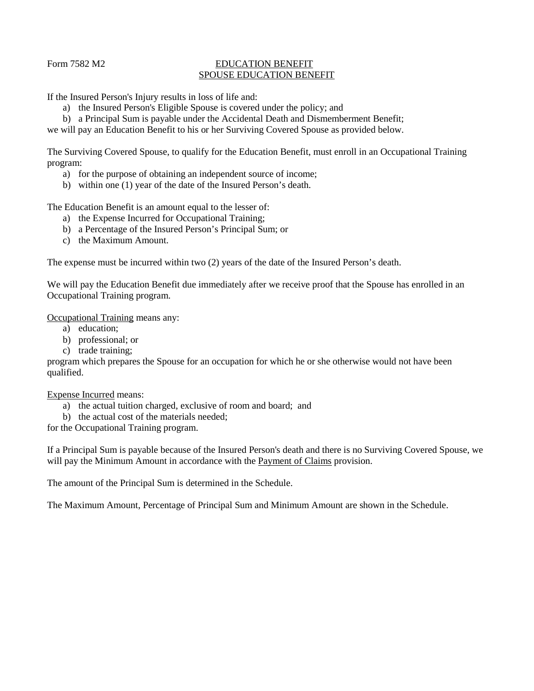### Form 7582 M2 EDUCATION BENEFIT SPOUSE EDUCATION BENEFIT

If the Insured Person's Injury results in loss of life and:

- a) the Insured Person's Eligible Spouse is covered under the policy; and
- b) a Principal Sum is payable under the Accidental Death and Dismemberment Benefit;

we will pay an Education Benefit to his or her Surviving Covered Spouse as provided below.

The Surviving Covered Spouse, to qualify for the Education Benefit, must enroll in an Occupational Training program:

- a) for the purpose of obtaining an independent source of income;
- b) within one (1) year of the date of the Insured Person's death.

The Education Benefit is an amount equal to the lesser of:

- a) the Expense Incurred for Occupational Training;
- b) a Percentage of the Insured Person's Principal Sum; or
- c) the Maximum Amount.

The expense must be incurred within two (2) years of the date of the Insured Person's death.

We will pay the Education Benefit due immediately after we receive proof that the Spouse has enrolled in an Occupational Training program.

Occupational Training means any:

- a) education;
- b) professional; or
- c) trade training;

program which prepares the Spouse for an occupation for which he or she otherwise would not have been qualified.

Expense Incurred means:

- a) the actual tuition charged, exclusive of room and board; and
- b) the actual cost of the materials needed;

for the Occupational Training program.

If a Principal Sum is payable because of the Insured Person's death and there is no Surviving Covered Spouse, we will pay the Minimum Amount in accordance with the Payment of Claims provision.

The amount of the Principal Sum is determined in the Schedule.

The Maximum Amount, Percentage of Principal Sum and Minimum Amount are shown in the Schedule.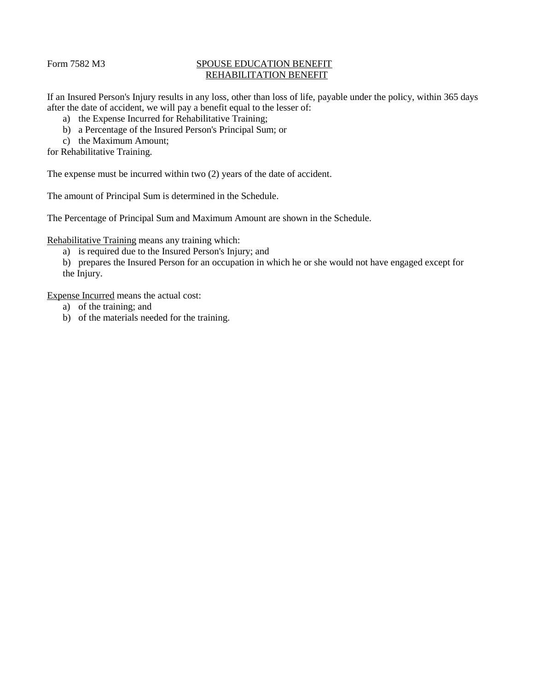### Form 7582 M3 SPOUSE EDUCATION BENEFIT REHABILITATION BENEFIT

If an Insured Person's Injury results in any loss, other than loss of life, payable under the policy, within 365 days after the date of accident, we will pay a benefit equal to the lesser of:

- a) the Expense Incurred for Rehabilitative Training;
- b) a Percentage of the Insured Person's Principal Sum; or
- c) the Maximum Amount;
- for Rehabilitative Training.

The expense must be incurred within two (2) years of the date of accident.

The amount of Principal Sum is determined in the Schedule.

The Percentage of Principal Sum and Maximum Amount are shown in the Schedule.

Rehabilitative Training means any training which:

- a) is required due to the Insured Person's Injury; and
- b) prepares the Insured Person for an occupation in which he or she would not have engaged except for the Injury.

Expense Incurred means the actual cost:

- a) of the training; and
- b) of the materials needed for the training.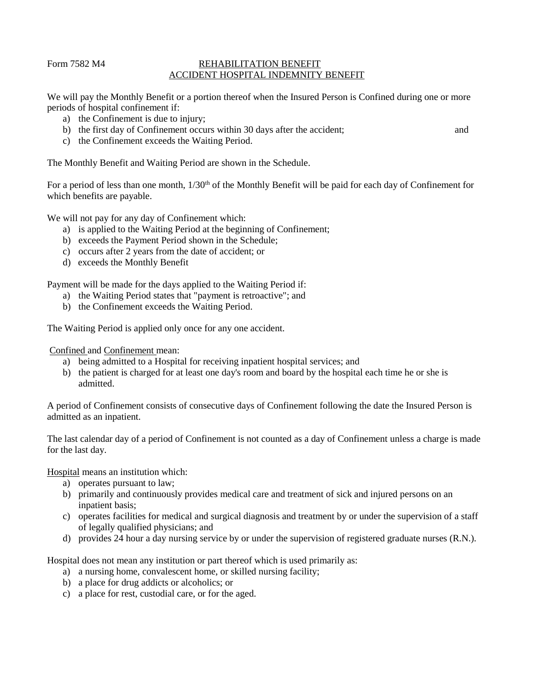### Form 7582 M4 REHABILITATION BENEFIT ACCIDENT HOSPITAL INDEMNITY BENEFIT

We will pay the Monthly Benefit or a portion thereof when the Insured Person is Confined during one or more periods of hospital confinement if:

- a) the Confinement is due to injury;
- b) the first day of Confinement occurs within 30 days after the accident; and

c) the Confinement exceeds the Waiting Period.

The Monthly Benefit and Waiting Period are shown in the Schedule.

For a period of less than one month,  $1/30<sup>th</sup>$  of the Monthly Benefit will be paid for each day of Confinement for which benefits are payable.

We will not pay for any day of Confinement which:

- a) is applied to the Waiting Period at the beginning of Confinement;
- b) exceeds the Payment Period shown in the Schedule;
- c) occurs after 2 years from the date of accident; or
- d) exceeds the Monthly Benefit

Payment will be made for the days applied to the Waiting Period if:

- a) the Waiting Period states that "payment is retroactive"; and
- b) the Confinement exceeds the Waiting Period.

The Waiting Period is applied only once for any one accident.

Confined and Confinement mean:

- a) being admitted to a Hospital for receiving inpatient hospital services; and
- b) the patient is charged for at least one day's room and board by the hospital each time he or she is admitted.

A period of Confinement consists of consecutive days of Confinement following the date the Insured Person is admitted as an inpatient.

The last calendar day of a period of Confinement is not counted as a day of Confinement unless a charge is made for the last day.

Hospital means an institution which:

- a) operates pursuant to law;
- b) primarily and continuously provides medical care and treatment of sick and injured persons on an inpatient basis;
- c) operates facilities for medical and surgical diagnosis and treatment by or under the supervision of a staff of legally qualified physicians; and
- d) provides 24 hour a day nursing service by or under the supervision of registered graduate nurses (R.N.).

Hospital does not mean any institution or part thereof which is used primarily as:

- a) a nursing home, convalescent home, or skilled nursing facility;
- b) a place for drug addicts or alcoholics; or
- c) a place for rest, custodial care, or for the aged.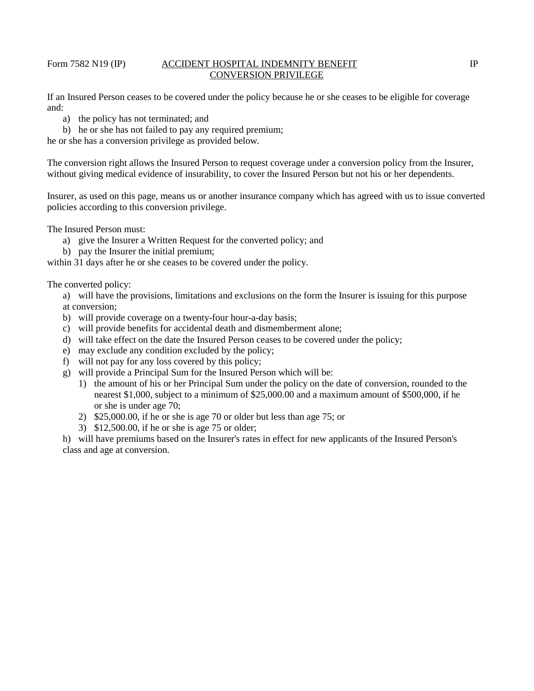#### Form 7582 N19 (IP) ACCIDENT HOSPITAL INDEMNITY BENEFIT IP IP CONVERSION PRIVILEGE

If an Insured Person ceases to be covered under the policy because he or she ceases to be eligible for coverage and:

a) the policy has not terminated; and

b) he or she has not failed to pay any required premium;

he or she has a conversion privilege as provided below.

The conversion right allows the Insured Person to request coverage under a conversion policy from the Insurer, without giving medical evidence of insurability, to cover the Insured Person but not his or her dependents.

Insurer, as used on this page, means us or another insurance company which has agreed with us to issue converted policies according to this conversion privilege.

The Insured Person must:

- a) give the Insurer a Written Request for the converted policy; and
- b) pay the Insurer the initial premium;

within 31 days after he or she ceases to be covered under the policy.

The converted policy:

a) will have the provisions, limitations and exclusions on the form the Insurer is issuing for this purpose at conversion;

- b) will provide coverage on a twenty-four hour-a-day basis;
- c) will provide benefits for accidental death and dismemberment alone;
- d) will take effect on the date the Insured Person ceases to be covered under the policy;
- e) may exclude any condition excluded by the policy;
- f) will not pay for any loss covered by this policy;
- g) will provide a Principal Sum for the Insured Person which will be:
	- 1) the amount of his or her Principal Sum under the policy on the date of conversion, rounded to the nearest \$1,000, subject to a minimum of \$25,000.00 and a maximum amount of \$500,000, if he or she is under age 70;
	- 2) \$25,000.00, if he or she is age 70 or older but less than age 75; or
	- 3) \$12,500.00, if he or she is age 75 or older;

h) will have premiums based on the Insurer's rates in effect for new applicants of the Insured Person's class and age at conversion.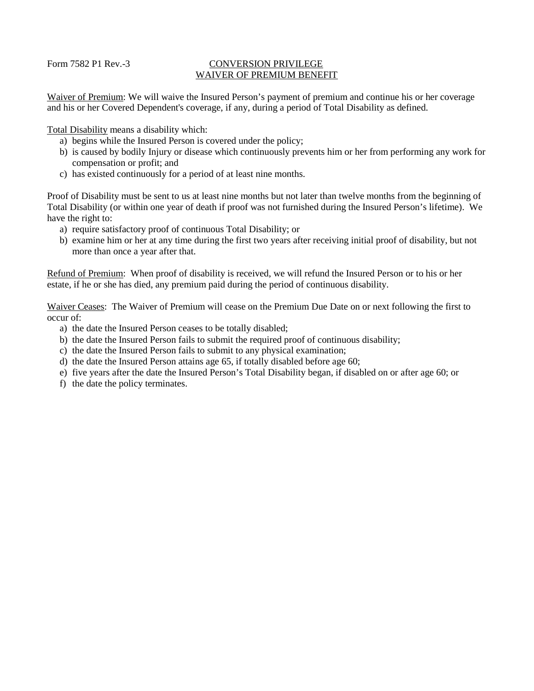#### Form 7582 P1 Rev.-3 CONVERSION PRIVILEGE WAIVER OF PREMIUM BENEFIT

Waiver of Premium: We will waive the Insured Person's payment of premium and continue his or her coverage and his or her Covered Dependent's coverage, if any, during a period of Total Disability as defined.

Total Disability means a disability which:

- a) begins while the Insured Person is covered under the policy;
- b) is caused by bodily Injury or disease which continuously prevents him or her from performing any work for compensation or profit; and
- c) has existed continuously for a period of at least nine months.

Proof of Disability must be sent to us at least nine months but not later than twelve months from the beginning of Total Disability (or within one year of death if proof was not furnished during the Insured Person's lifetime). We have the right to:

- a) require satisfactory proof of continuous Total Disability; or
- b) examine him or her at any time during the first two years after receiving initial proof of disability, but not more than once a year after that.

Refund of Premium: When proof of disability is received, we will refund the Insured Person or to his or her estate, if he or she has died, any premium paid during the period of continuous disability.

Waiver Ceases: The Waiver of Premium will cease on the Premium Due Date on or next following the first to occur of:

- a) the date the Insured Person ceases to be totally disabled;
- b) the date the Insured Person fails to submit the required proof of continuous disability;
- c) the date the Insured Person fails to submit to any physical examination;
- d) the date the Insured Person attains age 65, if totally disabled before age 60;
- e) five years after the date the Insured Person's Total Disability began, if disabled on or after age 60; or
- f) the date the policy terminates.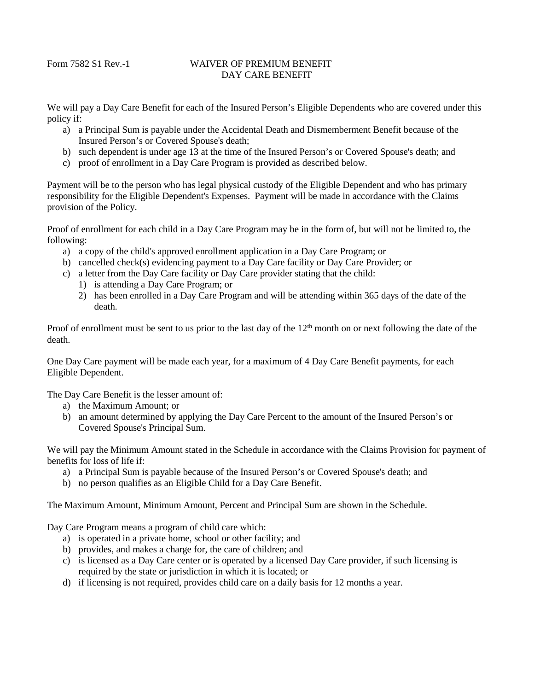#### Form 7582 S1 Rev.-1 WAIVER OF PREMIUM BENEFIT DAY CARE BENEFIT

We will pay a Day Care Benefit for each of the Insured Person's Eligible Dependents who are covered under this policy if:

- a) a Principal Sum is payable under the Accidental Death and Dismemberment Benefit because of the Insured Person's or Covered Spouse's death;
- b) such dependent is under age 13 at the time of the Insured Person's or Covered Spouse's death; and
- c) proof of enrollment in a Day Care Program is provided as described below.

Payment will be to the person who has legal physical custody of the Eligible Dependent and who has primary responsibility for the Eligible Dependent's Expenses. Payment will be made in accordance with the Claims provision of the Policy.

Proof of enrollment for each child in a Day Care Program may be in the form of, but will not be limited to, the following:

- a) a copy of the child's approved enrollment application in a Day Care Program; or
- b) cancelled check(s) evidencing payment to a Day Care facility or Day Care Provider; or
- c) a letter from the Day Care facility or Day Care provider stating that the child:
	- 1) is attending a Day Care Program; or
	- 2) has been enrolled in a Day Care Program and will be attending within 365 days of the date of the death.

Proof of enrollment must be sent to us prior to the last day of the  $12<sup>th</sup>$  month on or next following the date of the death.

One Day Care payment will be made each year, for a maximum of 4 Day Care Benefit payments, for each Eligible Dependent.

The Day Care Benefit is the lesser amount of:

- a) the Maximum Amount; or
- b) an amount determined by applying the Day Care Percent to the amount of the Insured Person's or Covered Spouse's Principal Sum.

We will pay the Minimum Amount stated in the Schedule in accordance with the Claims Provision for payment of benefits for loss of life if:

- a) a Principal Sum is payable because of the Insured Person's or Covered Spouse's death; and
- b) no person qualifies as an Eligible Child for a Day Care Benefit.

The Maximum Amount, Minimum Amount, Percent and Principal Sum are shown in the Schedule.

Day Care Program means a program of child care which:

- a) is operated in a private home, school or other facility; and
- b) provides, and makes a charge for, the care of children; and
- c) is licensed as a Day Care center or is operated by a licensed Day Care provider, if such licensing is required by the state or jurisdiction in which it is located; or
- d) if licensing is not required, provides child care on a daily basis for 12 months a year.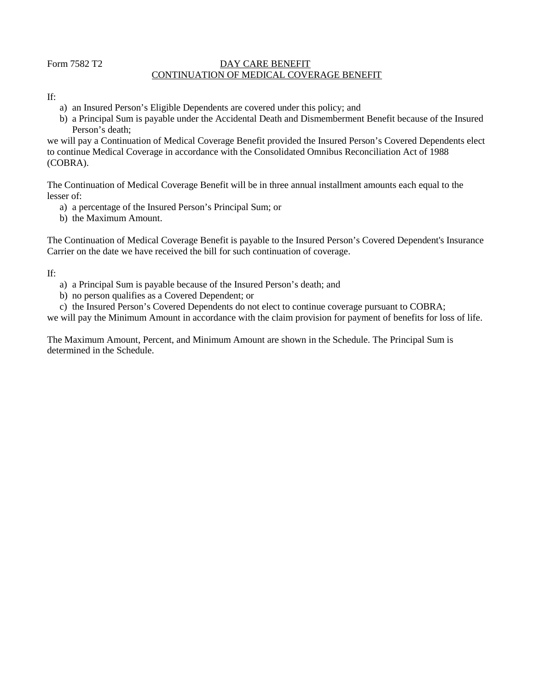# Form 7582 T2 DAY CARE BENEFIT CONTINUATION OF MEDICAL COVERAGE BENEFIT

### If:

- a) an Insured Person's Eligible Dependents are covered under this policy; and
- b) a Principal Sum is payable under the Accidental Death and Dismemberment Benefit because of the Insured Person's death;

we will pay a Continuation of Medical Coverage Benefit provided the Insured Person's Covered Dependents elect to continue Medical Coverage in accordance with the Consolidated Omnibus Reconciliation Act of 1988 (COBRA).

The Continuation of Medical Coverage Benefit will be in three annual installment amounts each equal to the lesser of:

- a) a percentage of the Insured Person's Principal Sum; or
- b) the Maximum Amount.

The Continuation of Medical Coverage Benefit is payable to the Insured Person's Covered Dependent's Insurance Carrier on the date we have received the bill for such continuation of coverage.

If:

- a) a Principal Sum is payable because of the Insured Person's death; and
- b) no person qualifies as a Covered Dependent; or
- c) the Insured Person's Covered Dependents do not elect to continue coverage pursuant to COBRA;

we will pay the Minimum Amount in accordance with the claim provision for payment of benefits for loss of life.

The Maximum Amount, Percent, and Minimum Amount are shown in the Schedule. The Principal Sum is determined in the Schedule.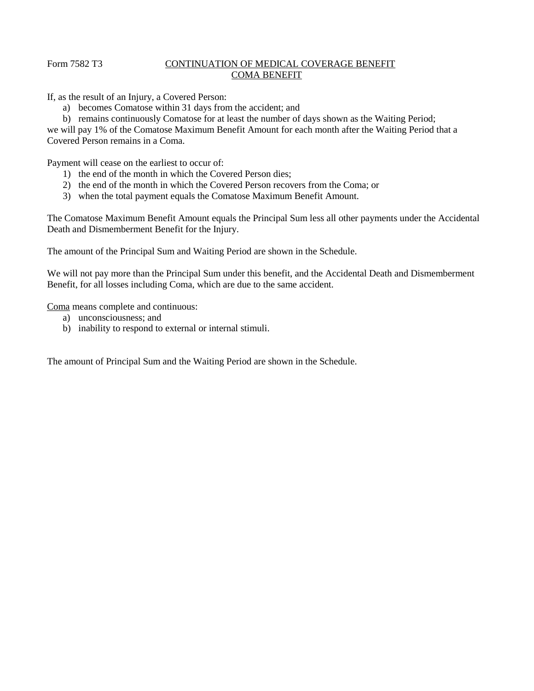# Form 7582 T3 CONTINUATION OF MEDICAL COVERAGE BENEFIT COMA BENEFIT

If, as the result of an Injury, a Covered Person:

- a) becomes Comatose within 31 days from the accident; and
- b) remains continuously Comatose for at least the number of days shown as the Waiting Period;

we will pay 1% of the Comatose Maximum Benefit Amount for each month after the Waiting Period that a Covered Person remains in a Coma.

Payment will cease on the earliest to occur of:

- 1) the end of the month in which the Covered Person dies;
- 2) the end of the month in which the Covered Person recovers from the Coma; or
- 3) when the total payment equals the Comatose Maximum Benefit Amount.

The Comatose Maximum Benefit Amount equals the Principal Sum less all other payments under the Accidental Death and Dismemberment Benefit for the Injury.

The amount of the Principal Sum and Waiting Period are shown in the Schedule.

We will not pay more than the Principal Sum under this benefit, and the Accidental Death and Dismemberment Benefit, for all losses including Coma, which are due to the same accident.

Coma means complete and continuous:

- a) unconsciousness; and
- b) inability to respond to external or internal stimuli.

The amount of Principal Sum and the Waiting Period are shown in the Schedule.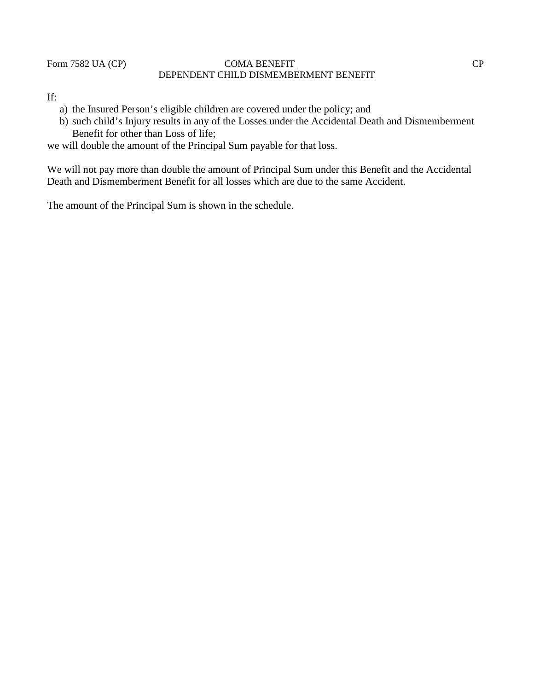# Form 7582 UA (CP) COMA BENEFIT CP DEPENDENT CHILD DISMEMBERMENT BENEFIT

# If:

- a) the Insured Person's eligible children are covered under the policy; and
- b) such child's Injury results in any of the Losses under the Accidental Death and Dismemberment Benefit for other than Loss of life;

we will double the amount of the Principal Sum payable for that loss.

We will not pay more than double the amount of Principal Sum under this Benefit and the Accidental Death and Dismemberment Benefit for all losses which are due to the same Accident.

The amount of the Principal Sum is shown in the schedule.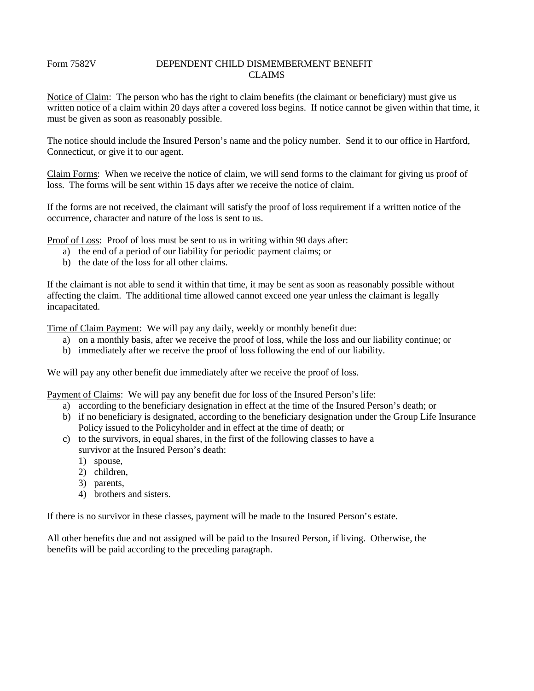# Form 7582V DEPENDENT CHILD DISMEMBERMENT BENEFIT CLAIMS

Notice of Claim: The person who has the right to claim benefits (the claimant or beneficiary) must give us written notice of a claim within 20 days after a covered loss begins. If notice cannot be given within that time, it must be given as soon as reasonably possible.

The notice should include the Insured Person's name and the policy number. Send it to our office in Hartford, Connecticut, or give it to our agent.

Claim Forms: When we receive the notice of claim, we will send forms to the claimant for giving us proof of loss. The forms will be sent within 15 days after we receive the notice of claim.

If the forms are not received, the claimant will satisfy the proof of loss requirement if a written notice of the occurrence, character and nature of the loss is sent to us.

Proof of Loss: Proof of loss must be sent to us in writing within 90 days after:

- a) the end of a period of our liability for periodic payment claims; or
- b) the date of the loss for all other claims.

If the claimant is not able to send it within that time, it may be sent as soon as reasonably possible without affecting the claim. The additional time allowed cannot exceed one year unless the claimant is legally incapacitated.

Time of Claim Payment: We will pay any daily, weekly or monthly benefit due:

- a) on a monthly basis, after we receive the proof of loss, while the loss and our liability continue; or
- b) immediately after we receive the proof of loss following the end of our liability.

We will pay any other benefit due immediately after we receive the proof of loss.

Payment of Claims: We will pay any benefit due for loss of the Insured Person's life:

- a) according to the beneficiary designation in effect at the time of the Insured Person's death; or
- b) if no beneficiary is designated, according to the beneficiary designation under the Group Life Insurance Policy issued to the Policyholder and in effect at the time of death; or
- c) to the survivors, in equal shares, in the first of the following classes to have a survivor at the Insured Person's death:
	- 1) spouse,
	- 2) children,
	- 3) parents,
	- 4) brothers and sisters.

If there is no survivor in these classes, payment will be made to the Insured Person's estate.

All other benefits due and not assigned will be paid to the Insured Person, if living. Otherwise, the benefits will be paid according to the preceding paragraph.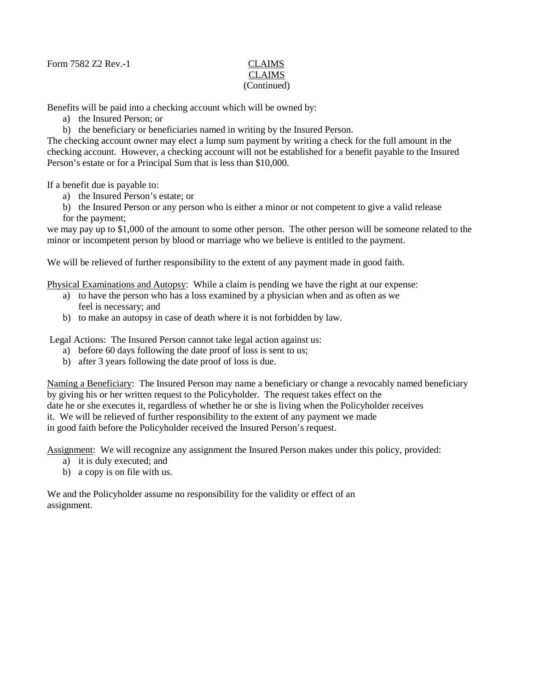Form 7582 Z2 Rev.-1 CLAIMS

# CLAIMS (Continued)

Benefits will be paid into a checking account which will be owned by:

- a) the Insured Person; or
- b) the beneficiary or beneficiaries named in writing by the Insured Person.

The checking account owner may elect a lump sum payment by writing a check for the full amount in the checking account. However, a checking account will not be established for a benefit payable to the Insured Person's estate or for a Principal Sum that is less than \$10,000.

If a benefit due is payable to:

a) the Insured Person's estate; or

b) the Insured Person or any person who is either a minor or not competent to give a valid release for the payment;

we may pay up to \$1,000 of the amount to some other person. The other person will be someone related to the minor or incompetent person by blood or marriage who we believe is entitled to the payment.

We will be relieved of further responsibility to the extent of any payment made in good faith.

Physical Examinations and Autopsy: While a claim is pending we have the right at our expense:

- a) to have the person who has a loss examined by a physician when and as often as we feel is necessary; and
- b) to make an autopsy in case of death where it is not forbidden by law.

Legal Actions: The Insured Person cannot take legal action against us:

- a) before 60 days following the date proof of loss is sent to us;
- b) after 3 years following the date proof of loss is due.

Naming a Beneficiary: The Insured Person may name a beneficiary or change a revocably named beneficiary by giving his or her written request to the Policyholder. The request takes effect on the date he or she executes it, regardless of whether he or she is living when the Policyholder receives it. We will be relieved of further responsibility to the extent of any payment we made in good faith before the Policyholder received the Insured Person's request.

Assignment: We will recognize any assignment the Insured Person makes under this policy, provided:

- a) it is duly executed; and
- b) a copy is on file with us.

We and the Policyholder assume no responsibility for the validity or effect of an assignment.